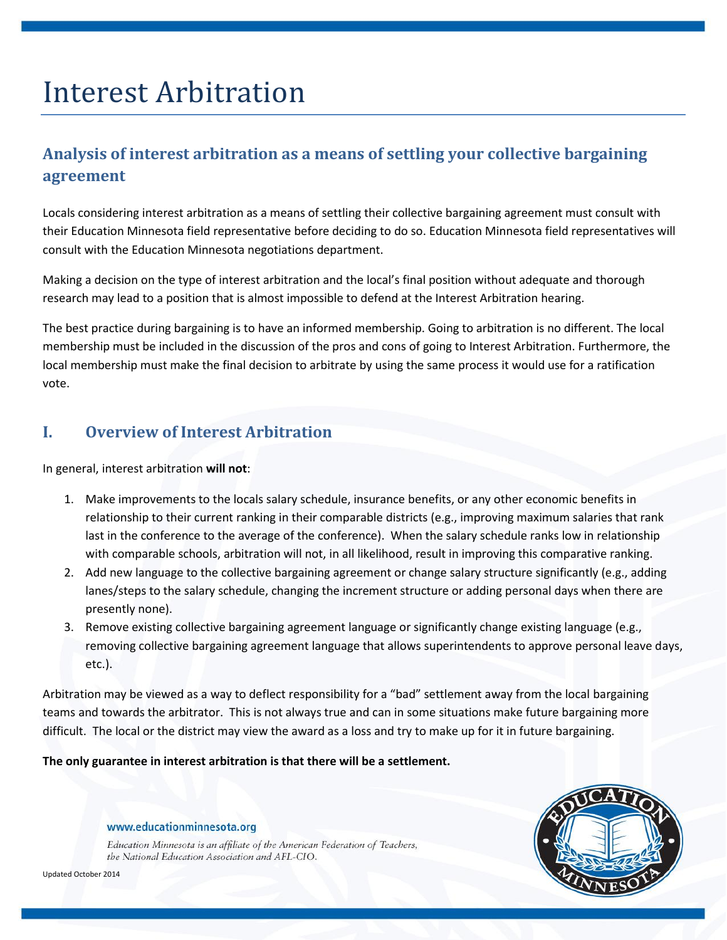# Interest Arbitration

# **Analysis of interest arbitration as a means of settling your collective bargaining agreement**

Locals considering interest arbitration as a means of settling their collective bargaining agreement must consult with their Education Minnesota field representative before deciding to do so. Education Minnesota field representatives will consult with the Education Minnesota negotiations department.

Making a decision on the type of interest arbitration and the local's final position without adequate and thorough research may lead to a position that is almost impossible to defend at the Interest Arbitration hearing.

The best practice during bargaining is to have an informed membership. Going to arbitration is no different. The local membership must be included in the discussion of the pros and cons of going to Interest Arbitration. Furthermore, the local membership must make the final decision to arbitrate by using the same process it would use for a ratification vote.

## **I. Overview of Interest Arbitration**

In general, interest arbitration **will not**:

- 1. Make improvements to the locals salary schedule, insurance benefits, or any other economic benefits in relationship to their current ranking in their comparable districts (e.g., improving maximum salaries that rank last in the conference to the average of the conference). When the salary schedule ranks low in relationship with comparable schools, arbitration will not, in all likelihood, result in improving this comparative ranking.
- 2. Add new language to the collective bargaining agreement or change salary structure significantly (e.g., adding lanes/steps to the salary schedule, changing the increment structure or adding personal days when there are presently none).
- 3. Remove existing collective bargaining agreement language or significantly change existing language (e.g., removing collective bargaining agreement language that allows superintendents to approve personal leave days, etc.).

Arbitration may be viewed as a way to deflect responsibility for a "bad" settlement away from the local bargaining teams and towards the arbitrator. This is not always true and can in some situations make future bargaining more difficult. The local or the district may view the award as a loss and try to make up for it in future bargaining.

**The only guarantee in interest arbitration is that there will be a settlement.**

#### www.educationminnesota.org

Education Minnesota is an affiliate of the American Federation of Teachers, the National Education Association and AFL-CIO.



Updated October 2014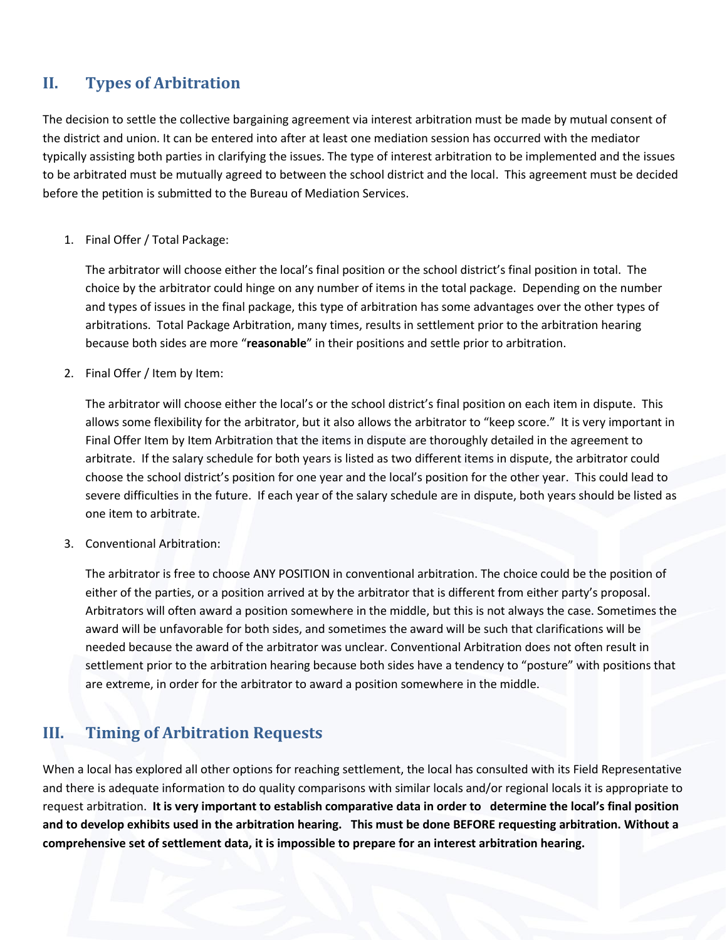## **II. Types of Arbitration**

The decision to settle the collective bargaining agreement via interest arbitration must be made by mutual consent of the district and union. It can be entered into after at least one mediation session has occurred with the mediator typically assisting both parties in clarifying the issues. The type of interest arbitration to be implemented and the issues to be arbitrated must be mutually agreed to between the school district and the local. This agreement must be decided before the petition is submitted to the Bureau of Mediation Services.

#### 1. Final Offer / Total Package:

The arbitrator will choose either the local's final position or the school district's final position in total. The choice by the arbitrator could hinge on any number of items in the total package. Depending on the number and types of issues in the final package, this type of arbitration has some advantages over the other types of arbitrations. Total Package Arbitration, many times, results in settlement prior to the arbitration hearing because both sides are more "**reasonable**" in their positions and settle prior to arbitration.

2. Final Offer / Item by Item:

The arbitrator will choose either the local's or the school district's final position on each item in dispute. This allows some flexibility for the arbitrator, but it also allows the arbitrator to "keep score." It is very important in Final Offer Item by Item Arbitration that the items in dispute are thoroughly detailed in the agreement to arbitrate. If the salary schedule for both years is listed as two different items in dispute, the arbitrator could choose the school district's position for one year and the local's position for the other year. This could lead to severe difficulties in the future. If each year of the salary schedule are in dispute, both years should be listed as one item to arbitrate.

3. Conventional Arbitration:

The arbitrator is free to choose ANY POSITION in conventional arbitration. The choice could be the position of either of the parties, or a position arrived at by the arbitrator that is different from either party's proposal. Arbitrators will often award a position somewhere in the middle, but this is not always the case. Sometimes the award will be unfavorable for both sides, and sometimes the award will be such that clarifications will be needed because the award of the arbitrator was unclear. Conventional Arbitration does not often result in settlement prior to the arbitration hearing because both sides have a tendency to "posture" with positions that are extreme, in order for the arbitrator to award a position somewhere in the middle.

## **III. Timing of Arbitration Requests**

When a local has explored all other options for reaching settlement, the local has consulted with its Field Representative and there is adequate information to do quality comparisons with similar locals and/or regional locals it is appropriate to request arbitration. **It is very important to establish comparative data in order to determine the local's final position and to develop exhibits used in the arbitration hearing. This must be done BEFORE requesting arbitration. Without a comprehensive set of settlement data, it is impossible to prepare for an interest arbitration hearing.**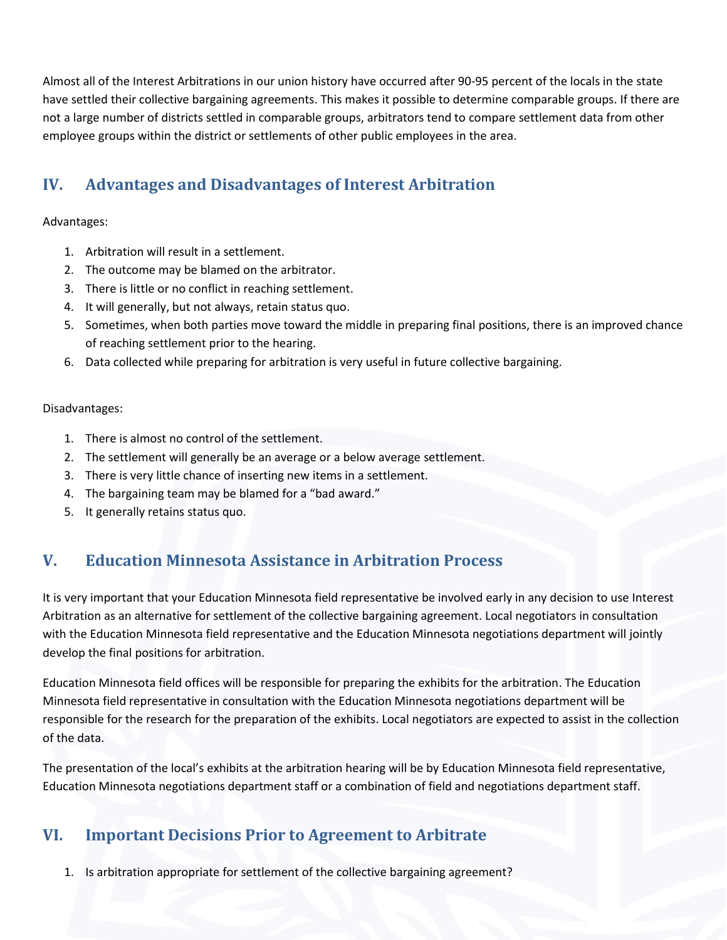Almost all of the Interest Arbitrations in our union history have occurred after 90-95 percent of the locals in the state have settled their collective bargaining agreements. This makes it possible to determine comparable groups. If there are not a large number of districts settled in comparable groups, arbitrators tend to compare settlement data from other employee groups within the district or settlements of other public employees in the area.

## **IV. Advantages and Disadvantages of Interest Arbitration**

#### Advantages:

- 1. Arbitration will result in a settlement.
- 2. The outcome may be blamed on the arbitrator.
- 3. There is little or no conflict in reaching settlement.
- 4. It will generally, but not always, retain status quo.
- 5. Sometimes, when both parties move toward the middle in preparing final positions, there is an improved chance of reaching settlement prior to the hearing.
- 6. Data collected while preparing for arbitration is very useful in future collective bargaining.

#### Disadvantages:

- 1. There is almost no control of the settlement.
- 2. The settlement will generally be an average or a below average settlement.
- 3. There is very little chance of inserting new items in a settlement.
- 4. The bargaining team may be blamed for a "bad award."
- 5. It generally retains status quo.

## **V. Education Minnesota Assistance in Arbitration Process**

It is very important that your Education Minnesota field representative be involved early in any decision to use Interest Arbitration as an alternative for settlement of the collective bargaining agreement. Local negotiators in consultation with the Education Minnesota field representative and the Education Minnesota negotiations department will jointly develop the final positions for arbitration.

Education Minnesota field offices will be responsible for preparing the exhibits for the arbitration. The Education Minnesota field representative in consultation with the Education Minnesota negotiations department will be responsible for the research for the preparation of the exhibits. Local negotiators are expected to assist in the collection of the data.

The presentation of the local's exhibits at the arbitration hearing will be by Education Minnesota field representative, Education Minnesota negotiations department staff or a combination of field and negotiations department staff.

## **VI. Important Decisions Prior to Agreement to Arbitrate**

1. Is arbitration appropriate for settlement of the collective bargaining agreement?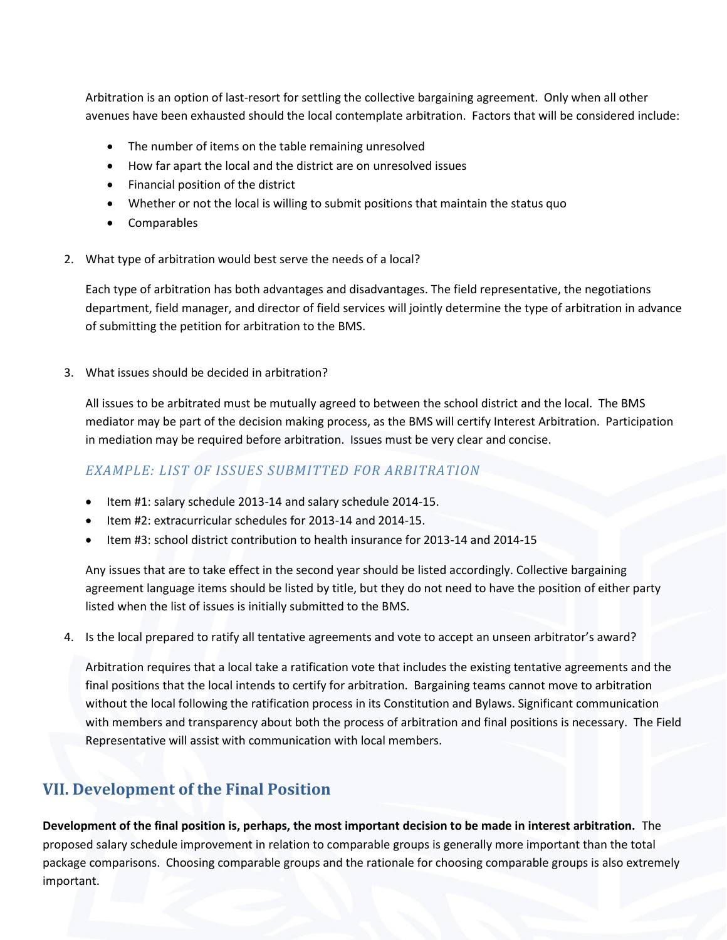Arbitration is an option of last-resort for settling the collective bargaining agreement. Only when all other avenues have been exhausted should the local contemplate arbitration. Factors that will be considered include:

- The number of items on the table remaining unresolved
- How far apart the local and the district are on unresolved issues
- Financial position of the district
- Whether or not the local is willing to submit positions that maintain the status quo
- Comparables
- 2. What type of arbitration would best serve the needs of a local?

Each type of arbitration has both advantages and disadvantages. The field representative, the negotiations department, field manager, and director of field services will jointly determine the type of arbitration in advance of submitting the petition for arbitration to the BMS.

3. What issues should be decided in arbitration?

All issues to be arbitrated must be mutually agreed to between the school district and the local. The BMS mediator may be part of the decision making process, as the BMS will certify Interest Arbitration. Participation in mediation may be required before arbitration. Issues must be very clear and concise.

### *EXAMPLE: LIST OF ISSUES SUBMITTED FOR ARBITRATION*

- Item #1: salary schedule 2013-14 and salary schedule 2014-15.
- Item #2: extracurricular schedules for 2013-14 and 2014-15.
- Item #3: school district contribution to health insurance for 2013-14 and 2014-15

Any issues that are to take effect in the second year should be listed accordingly. Collective bargaining agreement language items should be listed by title, but they do not need to have the position of either party listed when the list of issues is initially submitted to the BMS.

4. Is the local prepared to ratify all tentative agreements and vote to accept an unseen arbitrator's award?

Arbitration requires that a local take a ratification vote that includes the existing tentative agreements and the final positions that the local intends to certify for arbitration. Bargaining teams cannot move to arbitration without the local following the ratification process in its Constitution and Bylaws. Significant communication with members and transparency about both the process of arbitration and final positions is necessary. The Field Representative will assist with communication with local members.

## **VII. Development of the Final Position**

**Development of the final position is, perhaps, the most important decision to be made in interest arbitration.** The proposed salary schedule improvement in relation to comparable groups is generally more important than the total package comparisons. Choosing comparable groups and the rationale for choosing comparable groups is also extremely important.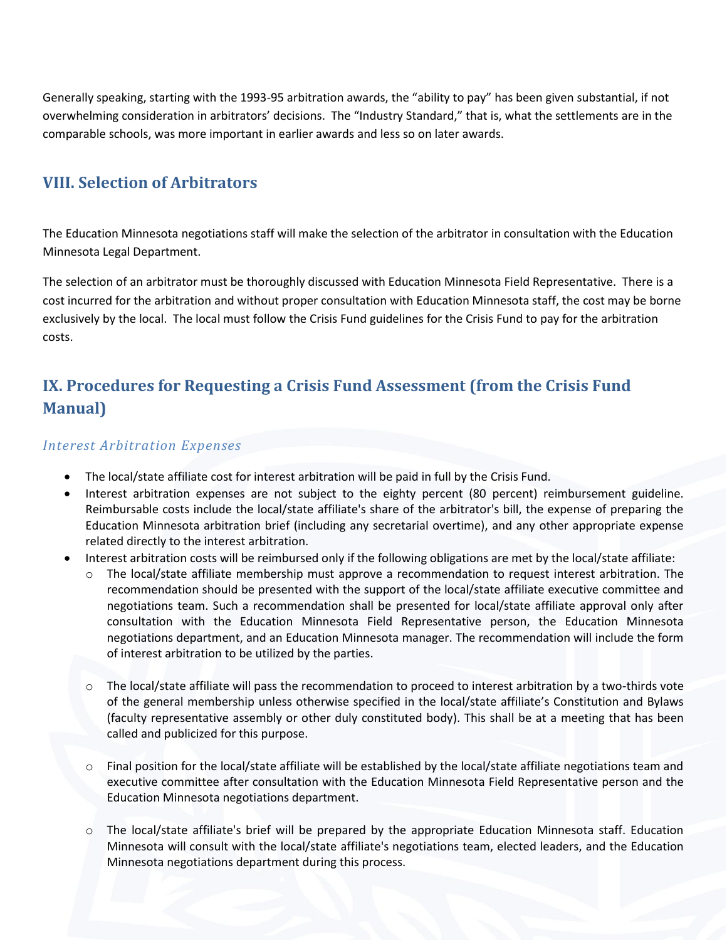Generally speaking, starting with the 1993-95 arbitration awards, the "ability to pay" has been given substantial, if not overwhelming consideration in arbitrators' decisions. The "Industry Standard," that is, what the settlements are in the comparable schools, was more important in earlier awards and less so on later awards.

## **VIII. Selection of Arbitrators**

The Education Minnesota negotiations staff will make the selection of the arbitrator in consultation with the Education Minnesota Legal Department.

The selection of an arbitrator must be thoroughly discussed with Education Minnesota Field Representative. There is a cost incurred for the arbitration and without proper consultation with Education Minnesota staff, the cost may be borne exclusively by the local. The local must follow the Crisis Fund guidelines for the Crisis Fund to pay for the arbitration costs.

## **IX. Procedures for Requesting a Crisis Fund Assessment (from the Crisis Fund Manual)**

#### *Interest Arbitration Expenses*

- The local/state affiliate cost for interest arbitration will be paid in full by the Crisis Fund.
- Interest arbitration expenses are not subject to the eighty percent (80 percent) reimbursement guideline. Reimbursable costs include the local/state affiliate's share of the arbitrator's bill, the expense of preparing the Education Minnesota arbitration brief (including any secretarial overtime), and any other appropriate expense related directly to the interest arbitration.
- Interest arbitration costs will be reimbursed only if the following obligations are met by the local/state affiliate:
	- The local/state affiliate membership must approve a recommendation to request interest arbitration. The recommendation should be presented with the support of the local/state affiliate executive committee and negotiations team. Such a recommendation shall be presented for local/state affiliate approval only after consultation with the Education Minnesota Field Representative person, the Education Minnesota negotiations department, and an Education Minnesota manager. The recommendation will include the form of interest arbitration to be utilized by the parties.
	- The local/state affiliate will pass the recommendation to proceed to interest arbitration by a two-thirds vote of the general membership unless otherwise specified in the local/state affiliate's Constitution and Bylaws (faculty representative assembly or other duly constituted body). This shall be at a meeting that has been called and publicized for this purpose.
	- o Final position for the local/state affiliate will be established by the local/state affiliate negotiations team and executive committee after consultation with the Education Minnesota Field Representative person and the Education Minnesota negotiations department.
	- o The local/state affiliate's brief will be prepared by the appropriate Education Minnesota staff. Education Minnesota will consult with the local/state affiliate's negotiations team, elected leaders, and the Education Minnesota negotiations department during this process.